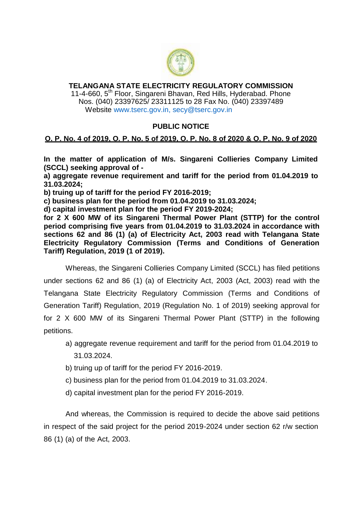

## **TELANGANA STATE ELECTRICITY REGULATORY COMMISSION** 11-4-660, 5<sup>th</sup> Floor, Singareni Bhavan, Red Hills, Hyderabad. Phone Nos. (040) 23397625/ 23311125 to 28 Fax No. (040) 23397489

Website [www.tserc.gov.in,](http://www.tserc.gov.in/) secy@tserc.gov.in

## **PUBLIC NOTICE**

## **O. P. No. 4 of 2019, O. P. No. 5 of 2019, O. P. No. 8 of 2020 & O. P. No. 9 of 2020**

**In the matter of application of M/s. Singareni Collieries Company Limited (SCCL) seeking approval of -**

**a) aggregate revenue requirement and tariff for the period from 01.04.2019 to 31.03.2024;**

**b) truing up of tariff for the period FY 2016-2019;**

**c) business plan for the period from 01.04.2019 to 31.03.2024;**

**d) capital investment plan for the period FY 2019-2024;**

**for 2 X 600 MW of its Singareni Thermal Power Plant (STTP) for the control period comprising five years from 01.04.2019 to 31.03.2024 in accordance with sections 62 and 86 (1) (a) of Electricity Act, 2003 read with Telangana State Electricity Regulatory Commission (Terms and Conditions of Generation Tariff) Regulation, 2019 (1 of 2019).**

Whereas, the Singareni Collieries Company Limited (SCCL) has filed petitions under sections 62 and 86 (1) (a) of Electricity Act, 2003 (Act, 2003) read with the Telangana State Electricity Regulatory Commission (Terms and Conditions of Generation Tariff) Regulation, 2019 (Regulation No. 1 of 2019) seeking approval for for 2 X 600 MW of its Singareni Thermal Power Plant (STTP) in the following petitions.

- a) aggregate revenue requirement and tariff for the period from 01.04.2019 to 31.03.2024.
- b) truing up of tariff for the period FY 2016-2019.
- c) business plan for the period from 01.04.2019 to 31.03.2024.
- d) capital investment plan for the period FY 2016-2019.

And whereas, the Commission is required to decide the above said petitions in respect of the said project for the period 2019-2024 under section 62 r/w section 86 (1) (a) of the Act, 2003.